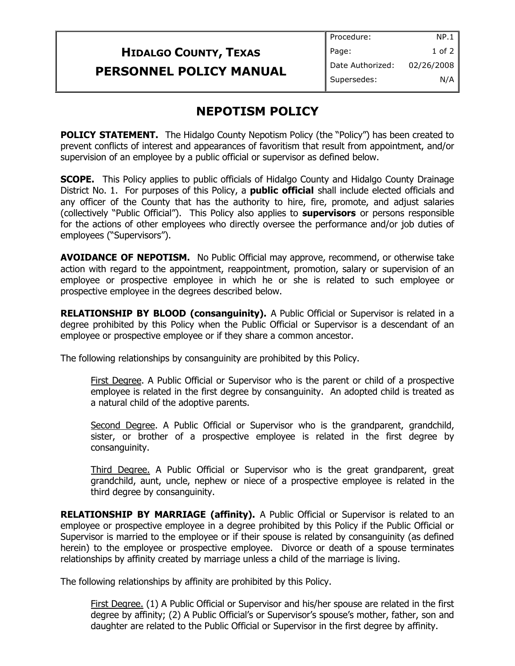| Procedure:  | NP.1             |
|-------------|------------------|
| Page:       | 1 of 2           |
|             | 02/26/2008       |
| Supersedes: | N/A              |
|             | Date Authorized: |

## **NEPOTISM POLICY**

**POLICY STATEMENT.** The Hidalgo County Nepotism Policy (the "Policy") has been created to prevent conflicts of interest and appearances of favoritism that result from appointment, and/or supervision of an employee by a public official or supervisor as defined below.

**SCOPE.** This Policy applies to public officials of Hidalgo County and Hidalgo County Drainage District No. 1. For purposes of this Policy, a **public official** shall include elected officials and any officer of the County that has the authority to hire, fire, promote, and adjust salaries (collectively "Public Official"). This Policy also applies to **supervisors** or persons responsible for the actions of other employees who directly oversee the performance and/or job duties of employees ("Supervisors").

**AVOIDANCE OF NEPOTISM.** No Public Official may approve, recommend, or otherwise take action with regard to the appointment, reappointment, promotion, salary or supervision of an employee or prospective employee in which he or she is related to such employee or prospective employee in the degrees described below.

**RELATIONSHIP BY BLOOD (consanguinity).** A Public Official or Supervisor is related in a degree prohibited by this Policy when the Public Official or Supervisor is a descendant of an employee or prospective employee or if they share a common ancestor.

The following relationships by consanguinity are prohibited by this Policy.

First Degree. A Public Official or Supervisor who is the parent or child of a prospective employee is related in the first degree by consanguinity. An adopted child is treated as a natural child of the adoptive parents.

Second Degree. A Public Official or Supervisor who is the grandparent, grandchild, sister, or brother of a prospective employee is related in the first degree by consanguinity.

Third Degree. A Public Official or Supervisor who is the great grandparent, great grandchild, aunt, uncle, nephew or niece of a prospective employee is related in the third degree by consanguinity.

**RELATIONSHIP BY MARRIAGE (affinity).** A Public Official or Supervisor is related to an employee or prospective employee in a degree prohibited by this Policy if the Public Official or Supervisor is married to the employee or if their spouse is related by consanguinity (as defined herein) to the employee or prospective employee. Divorce or death of a spouse terminates relationships by affinity created by marriage unless a child of the marriage is living.

The following relationships by affinity are prohibited by this Policy.

First Degree. (1) A Public Official or Supervisor and his/her spouse are related in the first degree by affinity; (2) A Public Official's or Supervisor's spouse's mother, father, son and daughter are related to the Public Official or Supervisor in the first degree by affinity.